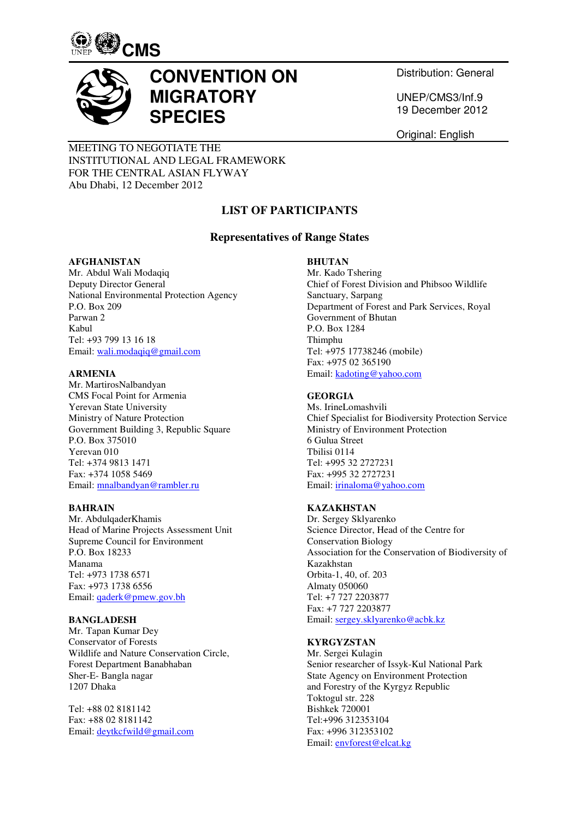



# **CONVENTION ON MIGRATORY SPECIES**

Distribution: General

UNEP/CMS3/Inf.9 19 December 2012

Original: English

# MEETING TO NEGOTIATE THE INSTITUTIONAL AND LEGAL FRAMEWORK FOR THE CENTRAL ASIAN FLYWAY Abu Dhabi, 12 December 2012

# **LIST OF PARTICIPANTS**

# **Representatives of Range States**

#### **AFGHANISTAN**

Mr. Abdul Wali Modaqiq Deputy Director General National Environmental Protection Agency P.O. Box 209 Parwan 2 Kabul Tel: +93 799 13 16 18 Email: wali.modaqiq@gmail.com

#### **ARMENIA**

Mr. MartirosNalbandyan CMS Focal Point for Armenia Yerevan State University Ministry of Nature Protection Government Building 3, Republic Square P.O. Box 375010 Yerevan 010 Tel: +374 9813 1471 Fax: +374 1058 5469 Email: mnalbandyan@rambler.ru

# **BAHRAIN**

Mr. AbdulqaderKhamis Head of Marine Projects Assessment Unit Supreme Council for Environment P.O. Box 18233 Manama Tel: +973 1738 6571 Fax: +973 1738 6556 Email: qaderk@pmew.gov.bh

# **BANGLADESH**

Mr. Tapan Kumar Dey Conservator of Forests Wildlife and Nature Conservation Circle, Forest Department Banabhaban Sher-E- Bangla nagar 1207 Dhaka

Tel: +88 02 8181142 Fax: +88 02 8181142 Email: deytkcfwild@gmail.com

# **BHUTAN**

Mr. Kado Tshering Chief of Forest Division and Phibsoo Wildlife Sanctuary, Sarpang Department of Forest and Park Services, Royal Government of Bhutan P.O. Box 1284 Thimphu Tel: +975 17738246 (mobile) Fax: +975 02 365190 Email: kadoting@yahoo.com

# **GEORGIA**

Ms. IrineLomashvili Chief Specialist for Biodiversity Protection Service Ministry of Environment Protection 6 Gulua Street Tbilisi 0114 Tel: +995 32 2727231 Fax: +995 32 2727231 Email: irinaloma@yahoo.com

# **KAZAKHSTAN**

Dr. Sergey Sklyarenko Science Director, Head of the Centre for Conservation Biology Association for the Conservation of Biodiversity of Kazakhstan Orbita-1, 40, of. 203 Almaty 050060 Tel: +7 727 2203877 Fax: +7 727 2203877 Email: sergey.sklyarenko@acbk.kz

# **KYRGYZSTAN**

Mr. Sergei Kulagin Senior researcher of Issyk-Kul National Park State Agency on Environment Protection and Forestry of the Kyrgyz Republic Toktogul str. 228 Bishkek 720001 Tel:+996 312353104 Fax: +996 312353102 Email: envforest@elcat.kg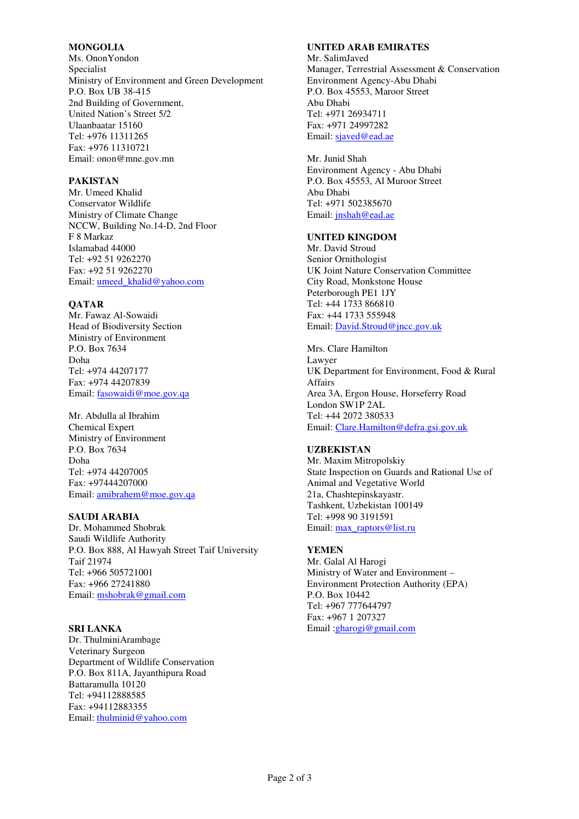#### **MONGOLIA**

Ms. OnonYondon Specialist Ministry of Environment and Green Development P.O. Box UB 38-415 2nd Building of Government, United Nation's Street 5/2 Ulaanbaatar 15160 Tel: +976 11311265 Fax: +976 11310721 Email: onon@mne.gov.mn

## **PAKISTAN**

Mr. Umeed Khalid Conservator Wildlife Ministry of Climate Change NCCW, Building No.14-D, 2nd Floor F 8 Markaz Islamabad 44000 Tel: +92 51 9262270 Fax: +92 51 9262270 Email: umeed\_khalid@yahoo.com

#### **QATAR**

Mr. Fawaz Al-Sowaidi Head of Biodiversity Section Ministry of Environment P.O. Box 7634 Doha Tel: +974 44207177 Fax: +974 44207839 Email: fasowaidi@moe.gov.qa

# Mr. Abdulla al Ibrahim

Chemical Expert Ministry of Environment P.O. Box 7634 Doha Tel: +974 44207005 Fax: +97444207000 Email: amibrahem@moe.gov.qa

# **SAUDI ARABIA**

Dr. Mohammed Shobrak Saudi Wildlife Authority P.O. Box 888, Al Hawyah Street Taif University Taif 21974 Tel: +966 505721001 Fax: +966 27241880 Email: mshobrak@gmail.com

#### **SRI LANKA**

Dr. ThulminiArambage Veterinary Surgeon Department of Wildlife Conservation P.O. Box 811A, Jayanthipura Road Battaramulla 10120 Tel: +94112888585 Fax: +94112883355 Email: thulminid@yahoo.com

#### **UNITED ARAB EMIRATES**

Mr. SalimJaved Manager, Terrestrial Assessment & Conservation Environment Agency-Abu Dhabi P.O. Box 45553, Maroor Street Abu Dhabi Tel: +971 26934711 Fax: +971 24997282 Email: sjaved@ead.ae

Mr. Junid Shah Environment Agency - Abu Dhabi P.O. Box 45553, Al Muroor Street Abu Dhabi Tel: +971 502385670 Email: jnshah@ead.ae

#### **UNITED KINGDOM**

Mr. David Stroud Senior Ornithologist UK Joint Nature Conservation Committee City Road, Monkstone House Peterborough PE1 1JY Tel: +44 1733 866810 Fax: +44 1733 555948 Email: David.Stroud@jncc.gov.uk

Mrs. Clare Hamilton Lawyer UK Department for Environment, Food & Rural Affairs Area 3A, Ergon House, Horseferry Road London SW1P 2AL Tel: +44 2072 380533 Email: Clare.Hamilton@defra.gsi.gov.uk

#### **UZBEKISTAN**

Mr. Maxim Mitropolskiy State Inspection on Guards and Rational Use of Animal and Vegetative World 21a, Chashtepinskayastr. Tashkent, Uzbekistan 100149 Tel: +998 90 3191591 Email: max\_raptors@list.ru

# **YEMEN**

Mr. Galal Al Harogi Ministry of Water and Environment – Environment Protection Authority (EPA) P.O. Box 10442 Tel: +967 777644797 Fax: +967 1 207327 Email :gharogi@gmail.com